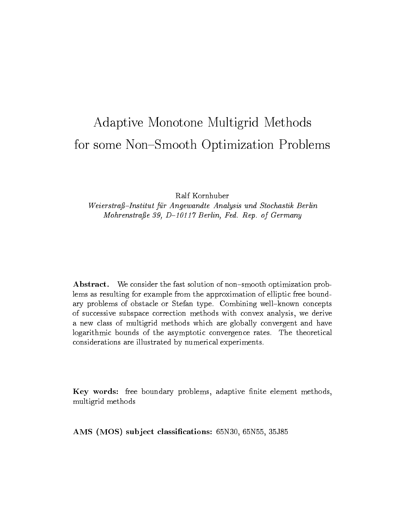# Adaptive Monotone Multigrid Methods for some Non-Smooth Optimization Problems

Ralf Kornhuber

Weierstraß-Institut für Angewandte Analysis und Stochastik Berlin Mohrenstraße 39, D-10117 Berlin, Fed. Rep. of Germany

Abstract. We consider the fast solution of non-smooth optimization problems as resulting for example from the approximation of elliptic free boundary problems of obstacle or Stefan type. Combining well-known concepts of successive subspace correction methods with convex analysis, we derive a new class of multigrid methods which are globally convergent and have logarithmic bounds of the asymptotic convergence rates. The theoretical considerations are illustrated by numerical experiments.

Key words: free boundary problems, adaptive finite element methods, multigrid methods

AMS (MOS) subject classifications: 65N30, 65N55, 35J85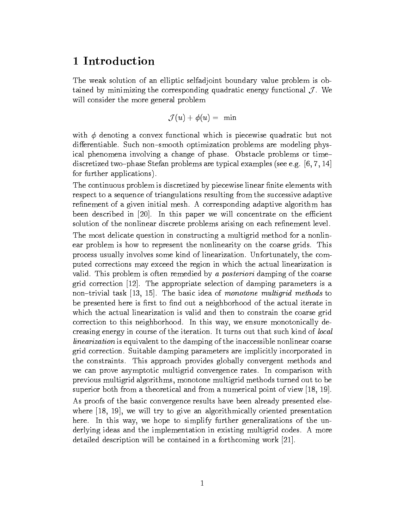# 1 Introduction

The weak solution of an elliptic selfadjoint boundary value problem is obthe corresponding the corresponding  $\mathcal{C}$  . We are the corresponding  $\mathcal{C}$  . We are the corresponding to  $\mathcal{C}$ will consider the more general problem

$$
\mathcal{J}(u)+\phi(u)=\text{ }\min
$$

with  $\phi$  denoting a convex functional which is piecewise quadratic but not differentiable. Such non-smooth optimization problems are modeling physical phenomena involving a change of phase. Obstacle problems or time{ discretized two-phase Stefan problems are typical examples (see e.g.  $[6, 7, 14]$ ) for further applications).

The continuous problem is discretized by piecewise linear finite elements with respect to a sequence of triangulations resulting from the successive adaptive refinement of a given initial mesh. A corresponding adaptive algorithm has been described in  $[20]$ . In this paper we will concentrate on the efficient solution of the nonlinear discrete problems arising on each refinement level.

The most delicate question in constructing a multigrid method for a nonlinear problem is how to represent the nonlinearity on the coarse grids. This process usually involves some kind of linearization. Unfortunately, the computed corrections may exceed the region in which the actual linearization is valid. This problem is often remedied by a posteriori damping of the coarse grid correction [12]. The appropriate selection of damping parameters is a non-trivial task  $[13, 15]$ . The basic idea of monotone multigrid methods to be presented here is first to find out a neighborhood of the actual iterate in which the actual linearization is valid and then to constrain the coarse grid correction to this neighborhood. In this way, we ensure monotonically decreasing energy in course of the iteration. It turns out that such kind of local linearization is equivalent to the damping of the inaccessible nonlinear coarse grid correction. Suitable damping parameters are implicitly incorporated in the constraints. This approach provides globally convergent methods and we can prove asymptotic multigrid convergence rates. In comparison with previous multigrid algorithms, monotone multigrid methods turned out to be superior both from a theoretical and from a numerical point of view [18, 19]. As proofs of the basic convergence results have been already presented elsewhere [18, 19], we will try to give an algorithmically oriented presentation here. In this way, we hope to simplify further generalizations of the underlying ideas and the implementation in existing multigrid codes. A more

detailed description will be contained in a forthcoming work [21].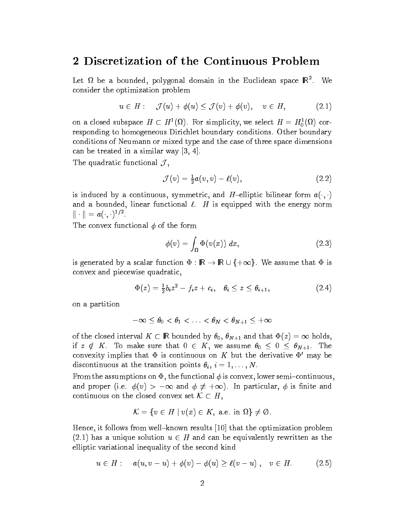# 2 Discretization of the Continuous Problem

Let  $\Omega$  be a bounded, polygonal domain in the Euclidean space  $\mathbb{R}^7$ . We consider the optimization problem

$$
u \in H: \quad \mathcal{J}(u) + \phi(u) \leq \mathcal{J}(v) + \phi(v), \quad v \in H,
$$
\n
$$
(2.1)
$$

on a closed subspace  $H \subset H^1(M)$ . For simplicity, we select  $H = H_0^1(M)$  corresponding to homogeneous Dirichlet boundary conditions. Other boundary conditions of Neumann or mixed type and the case of three space dimensions can be treated in a similar way [3, 4].

 $\Gamma$  , and  $\Gamma$  , and  $\Gamma$  , and  $\Gamma$  , and  $\Gamma$  , and  $\Gamma$  , and  $\Gamma$  , and  $\Gamma$  , and  $\Gamma$  , and  $\Gamma$  , and  $\Gamma$  , and  $\Gamma$  , and  $\Gamma$  , and  $\Gamma$  , and  $\Gamma$  , and  $\Gamma$  , and  $\Gamma$  , and  $\Gamma$  , and  $\Gamma$  , and  $\Gamma$  , and

$$
\mathcal{J}(v) = \frac{1}{2}a(v,v) - \ell(v),\tag{2.2}
$$

is induced by a continuous, symmetric, and H-elliptic bilinear form  $a(\cdot,\cdot)$ and a bounded, linear functional  $\ell$ . H is equipped with the energy norm  $|| \cdot || = a(\cdot, \cdot)$ .

The convex functional  $\phi$  of the form

$$
\phi(v) = \int_{\Omega} \Phi(v(x)) dx, \qquad (2.3)
$$

 $\frac{1}{2}$  generated by a scalar function  $\frac{1}{2}$   $\frac{1}{2}$   $\frac{1}{2}$   $\frac{1}{2}$   $\frac{1}{2}$   $\frac{1}{2}$   $\frac{1}{2}$   $\frac{1}{2}$   $\frac{1}{2}$   $\frac{1}{2}$   $\frac{1}{2}$   $\frac{1}{2}$   $\frac{1}{2}$   $\frac{1}{2}$   $\frac{1}{2}$   $\frac{1}{2}$   $\frac{1}{2}$   $\frac{1}{2}$  convex and piecewise quadratic,

$$
\Phi(z) = \frac{1}{2}b_i z^2 - f_i z + c_i, \quad \theta_i \le z \le \theta_{i+1}, \tag{2.4}
$$

on a partition

$$
-\infty\leq\theta_0<\theta_1<\ldots<\theta_N<\theta_{N+1}\leq+\infty
$$

of the closed interval  $\epsilon$  is a bounded by  $\epsilon$   $\theta$ ,  $\epsilon$   $N+1$  and that  $\epsilon$   $\epsilon$   $\epsilon$   $\epsilon$   $\epsilon$  is a follow, if  $z \notin K$ . To make sure that  $0 \in K$ , we assume  $\theta_0 \leq 0 \leq \theta_{N+1}$ . The convexity implies that  $\Phi$  is continuous on K but the derivative  $\Phi'$  may be discontinuous at the transition points  $\theta_i, i = 1, \ldots, N$ .

From the assumptions on  $\Phi$ , the functional  $\phi$  is convex, lower semi-continuous, and proper (i.e.  $\{ \setminus \}$  )  $\{ \setminus \{ \setminus \} \}$  , the particular particular,  $\{ \setminus \{ \setminus \} \}$ continuous on the close convex set  $\alpha \in \mathbb{R}$ ,

$$
\mathcal{K} = \{ v \in H \mid v(x) \in K, \text{ a.e. in } \Omega \} \neq \emptyset.
$$

Hence, it follows from well-known results  $[10]$  that the optimization problem (2.1) has a unique solution u 2 H and can be equivalently rewritten as the  $\sim$ elliptic variational inequality of the second kind

$$
u \in H: \quad a(u, v - u) + \phi(v) - \phi(u) \ge \ell(v - u), \quad v \in H. \tag{2.5}
$$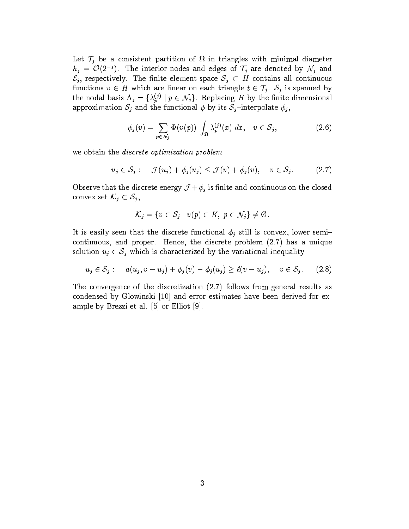Let T<sup>j</sup> be a consistent partition of in triangles with minimal diameter  $n_j = O(2^j)$ . The interior nodes and edges of  $T_j$  are denoted by  $N_j$  and  $\mathcal{E}_j$ , respectively. The finite element space  $\mathcal{S}_j \subset H$  contains all continuous functions  $v \in H$  which are linear on each triangle  $t \in \mathcal{T}_j$ .  $S_j$  is spanned by the nodal basis  $\Lambda_j = \{\lambda_p^{(j)} \mid p \in \mathcal{N}_j\}$ . Replacing H by the finite dimensional approximation  $S_j$  and the functional  $\phi$  by its  $S_j$ -interpolate  $\phi_j$ ,

$$
\phi_j(v) = \sum_{p \in \mathcal{N}_j} \Phi(v(p)) \int_{\Omega} \lambda_p^{(j)}(x) dx, \quad v \in \mathcal{S}_j,
$$
\n(2.6)

we obtain the discrete optimization problem

$$
u_j \in \mathcal{S}_j: \quad \mathcal{J}(u_j) + \phi_j(u_j) \leq \mathcal{J}(v) + \phi_j(v), \quad v \in \mathcal{S}_j. \tag{2.7}
$$

Observe that the discrete energy J <sup>+</sup><sup>j</sup> is nite and continuous on the closed  $\epsilon$  set  $\epsilon$  set  $\epsilon$ 

$$
\mathcal{K}_j = \{ v \in \mathcal{S}_j \mid v(p) \in K, \ p \in \mathcal{N}_j \} \neq \emptyset.
$$

It is easily seen that the discrete functional  $\phi_j$  still is convex, lower semicontinuous, and proper. Hence, the discrete problem (2.7) has a unique solution  $u_j \in S_j$  which is characterized by the variational inequality

$$
u_j \in \mathcal{S}_j: \quad a(u_j, v - u_j) + \phi_j(v) - \phi_j(u_j) \ge \ell(v - u_j), \quad v \in \mathcal{S}_j. \tag{2.8}
$$

The convergence of the discretization (2.7) follows from general results as condensed by Glowinski [10] and error estimates have been derived for example by Brezzi et al. [5] or Elliot [9].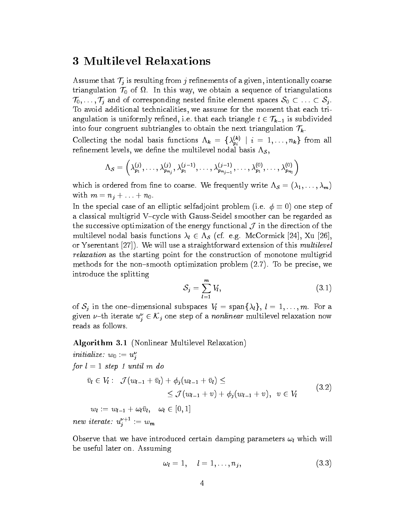# 3 Multilevel Relaxations

assume that  $\alpha$  is resulting from j results of a given, internetionally coarse  $\alpha$ triangulation  $\mathcal{I}$  of triangulation  $\mathcal{I}$  of triangulations of triangulations of triangulations of triangulations of triangulations of triangulations of triangulations of triangulations of triangulations of triangu  $\overline{S}$  and  $\overline{S}$  and  $\overline{S}$  . To avoid additional technicalities, we assume for the moment that each triangulation is uniformly refined, i.e. that each triangle  $t \in \mathcal{T}_{k-1}$  is subdivided into four congruent subtriangles to obtain the next triangulation  $\mathcal{T}_k$ .

Collecting the nodal basis functions  $\Lambda_k = {\Lambda_{pi}^{\nu}} / {\Lambda_k} = 1, \ldots, n_k$  from all refinement levels, we define the multilevel nodal basis  $\Lambda_{\mathcal{S}},$ 

$$
\Lambda_{\mathcal{S}}=\left(\lambda^{(j)}_{p_1},\ldots,\lambda^{(j)}_{p_{n_j}},\lambda^{(j-1)}_{p_1},\ldots,\lambda^{(j-1)}_{p_{n_{j-1}}},\ldots,\lambda^{(0)}_{p_1},\ldots,\lambda^{(0)}_{p_{n_0}}\right)
$$

which is ordered from fine to coarse. We frequently write  $\Lambda_{\mathcal{S}} = (\lambda_1, \ldots, \lambda_m)$ with  $m = n_j + \ldots + n_0$ .

In the special case of an elliptic selfadio selfadjoint  $\Gamma$  is selfabet (i.e.  $\Gamma$  ) one step of  $\Gamma$ a classical multigrid V-cycle with Gauss-Seidel smoother can be regarded as the successive optimization of the energy functional  $\mathcal C$  in the direction of the direction of the direction of the direction of the direction of the direction of the direction of the direction of the direction of the d multilevel as node a node of  $\alpha$  such a  $\alpha$  (cf. e.g. measures in the  $[2,1)$  and  $[2,1)$ or Yserentant [27]). We will use a straightforward extension of this multilevel relaxation as the starting point for the construction of monotone multigrid methods for the non-smooth optimization problem  $(2.7)$ . To be precise, we introduce the splitting

$$
S_j = \sum_{l=1}^{m} V_l, \tag{3.1}
$$

of Sj in the one functional subspaces  $\mathbf{r}$  in the  $\mathbf{r}$  subspace  $\mathbf{r}$  and  $\mathbf{r}$ given  $\nu$ -th iterate  $u_j \in \mathcal{N}_j$  one step of a *nonunear* multilevel relaxation now<br>reads as follows reads as follows.

Algorithm 3.1 (Nonlinear Multilevel Relaxation)

 $inuu$ ize:  $w_0 := u_j$ for  $l = 1$  step 1 until m do  $\mathbf{v}$  ,  $\mathbf{v}$  ,  $\mathbf{v}$  ,  $\mathbf{v}$  ,  $\mathbf{v}$  ,  $\mathbf{v}$  ,  $\mathbf{v}$  ,  $\mathbf{v}$  ,  $\mathbf{v}$  ,  $\mathbf{v}$  $\sum_{i=1}^{n}$  (with  $\sum_{i=1}^{n}$   $\sum_{i=1}^{n}$   $\sum_{i=1}^{n}$   $\sum_{i=1}^{n}$   $\sum_{i=1}^{n}$   $\sum_{i=1}^{n}$   $\sum_{i=1}^{n}$   $\sum_{i=1}^{n}$   $\sum_{i=1}^{n}$   $\sum_{i=1}^{n}$   $\sum_{i=1}^{n}$   $\sum_{i=1}^{n}$   $\sum_{i=1}^{n}$   $\sum_{i=1}^{n}$   $\sum_{i=1}^{n}$   $\sum_{i=1$ (3.2) with  $\mathbf{u} = \mathbf{u} = \mathbf{u} = \mathbf{u} = \mathbf{u} = \mathbf{u} = \mathbf{u} = \mathbf{u} = \mathbf{u} = \mathbf{u} = \mathbf{u} = \mathbf{u} = \mathbf{u} = \mathbf{u} = \mathbf{u} = \mathbf{u} = \mathbf{u} = \mathbf{u} = \mathbf{u} = \mathbf{u} = \mathbf{u} = \mathbf{u} = \mathbf{u} = \mathbf{u} = \mathbf{u} = \mathbf{u} = \mathbf{u} = \mathbf{u} = \mathbf{u} = \mathbf{u} = \mathbf{u$  $new \,\, \mathit{terate}: \,\, u_j \quad := w_m$ 

Observe that we have introduced certain damping parameters  $\omega_l$  which will be useful later on. Assuming

$$
\omega_l=1,\quad l=1,\ldots,n_j,\qquad \qquad (3.3)
$$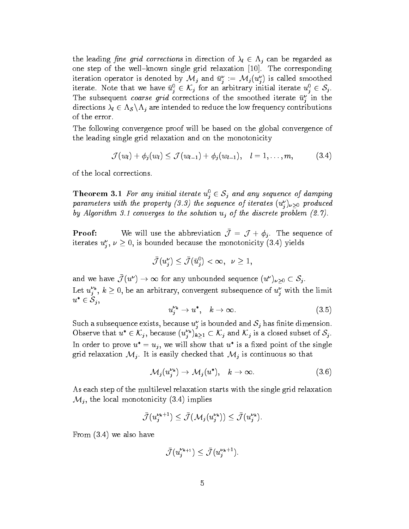the leading ne grid corrections in direction of l 2 j can be regarded as one step of the well-known single grid relaxation  $[10]$ . The corresponding iteration operator is denoted by  $\mathcal{M}_j$  and  $u_j := \mathcal{M}_j(u_j)$  is called smoothed iterate. Note that we have  $u_j \in \mathcal{N}_j$  for an arbitrary initial iterate  $u_j \in$ <br>The subsequent coarse arid corrections of the smoothed iterate  $\bar{u}^{\nu}$  in The subsequent *coarse grid* corrections of the smoothed iterate  $\bar{u}^{\nu}_{j}$  in the directions like  $\sim$  s nj  $\sim$   $\sim$   $\sim$   $\sim$  s nd  $\sim$  s nd  $\sim$  s nd  $\sim$  s  $\sim$  s  $\sim$  s  $\sim$  s nd  $\sim$  s nd  $\sim$  s nd  $\sim$ of the error.

The following convergence proof will be based on the global convergence of the leading single grid relaxation and on the monotonicity

$$
\mathcal{J}(w_l)+\phi_j(w_l)\leq \mathcal{J}(w_{l-1})+\phi_j(w_{l-1}), \quad l=1,\ldots,m, \qquad (3.4)
$$

of the local corrections.

**Theorem 3.1** For any initial iterate  $u_i^0 \in S_j$  and any sequence of damping parameters with the property  $(3.3)$  the sequence of iterates  $(u_j^{\nu})_{\nu>0}$  produced by Algorithm 3.1 converges to the solution  $u_i$  of the discrete problem (2.7).

**Proof:** We will use the abbreviation  $\bar{\mathcal{J}} = \mathcal{J} + \phi_j$ . The sequence of iterates  $u_j$ ,  $\nu \geq 0$ , is bounded because the monotonicity (3.4) yields

$$
\bar{\mathcal{J}}(u_j^\nu) \leq \bar{\mathcal{J}}(\bar{u}_j^0) < \infty, \ \ \nu \geq 1,
$$

and we have  $\bar{J}(u^{\nu}) \to \infty$  for any unbounded sequence  $(u^{\nu})_{\nu>0} \subset S_j$ . Let  $u_j^*, k \geq 0$ , be an arbitrary, convergent subsequence of  $u_j^*$  with the limit  $u^* \in \mathcal{S}_j$  $2 - j$ 

$$
u_j^{\nu_k} \to u^*, \quad k \to \infty. \tag{3.5}
$$

Such a subsequence exists, because  $u_j$  is bounded and  $\delta_j$  has finite dimension. Observe that  $u^* \in \mathcal{K}_i$ , because  $(u^*_{i})_k$ In order to prove  $u^* = u_j$ , we will show that  $u^*$  is a fixed point of the single grid relationships  $\cdot$  ,  $\cdot$  is the checked that  $\cdot$  and  $\cdot$   $\cdot$  is continuous so that  $\cdot$ 

$$
\mathcal{M}_j(u_j^{\nu_k}) \to \mathcal{M}_j(u^*), \quad k \to \infty. \tag{3.6}
$$

As each step of the multilevel relaxation starts with the single grid relaxation  $\mathcal{M}_j$ , the local monotonicity (3.4) implies

$$
\bar{\mathcal{J}}(u_j^{\nu_k+1}) \leq \bar{\mathcal{J}}(\mathcal{M}_j(u_j^{\nu_k})) \leq \bar{\mathcal{J}}(u_j^{\nu_k}).
$$

From (3.4) we also have

$$
\bar{\mathcal{J}}(u_j^{\nu_{k+1}}) \leq \bar{\mathcal{J}}(u_j^{\nu_k+1}).
$$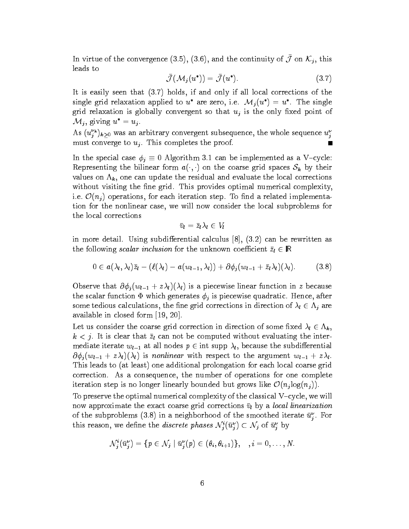In virtue of the convergence (5.0), (5.0), and the continuity of  $J$  on  $\mathcal{N}_j$ , this leads to

$$
\bar{\mathcal{J}}(\mathcal{M}_j(u^*)) = \bar{\mathcal{J}}(u^*). \tag{3.7}
$$

It is easily seen that (3.7) holds, if and only if all local corrections of the single grid relaxation applied to u are zero, i.e.  $\mathcal{M}_j(u) = u$  . The single grid relaxation is globally convergent so that  $u_j$  is the only fixed point of

 $\mathcal{M}_j$ , giving  $u^j = u_j$ .<br>As  $(u^{\nu_k}_j)_{k\geq 0}$  was an arbitrary convergent subsequence, the whole sequence  $u^{\nu}_j$ must converge to  $u_j$ . This completes the proof.  $\blacksquare$ 

In the special case  $\tau$   $_1$  cases implemented as a vertical can be implemented as a variable: Representing the bilinear form  $a(\cdot,\cdot)$  on the coarse grid spaces  $S_k$  by their values on  $\Lambda_k$ , one can update the residual and evaluate the local corrections without visiting the fine grid. This provides optimal numerical complexity, i.e.  $\mathcal{L}(\mathcal{L})$  or the step. To each iteration step. To each interaction step. To each input  $\mathcal{L}(\mathcal{L})$ tion for the nonlinear case, we will now consider the local subproblems for the local corrections

$$
\bar v_l = \bar z_l \lambda_l \in V_l
$$

in more detail. Using subdifferential calculus  $[8]$ ,  $(3.2)$  can be rewritten as the following scalar inclusion for the unknown coecient zl 2 <sup>R</sup>

$$
0\in a(\lambda_l,\lambda_l)\bar{z}_l-(\ell(\lambda_l)-a(w_{l-1},\lambda_l))+\partial\phi_j(w_{l-1}+\bar{z}_l\lambda_l)(\lambda_l).\qquad \quad (3.8)
$$

Observe that  $\partial \phi_i(w_{l-1} + z\lambda_l)(\lambda_l)$  is a piecewise linear function in z because the scalar function  $\Phi$  which generates  $\phi_j$  is piecewise quadratic. Hence, after some tedious calculations in  $\beta$  are need grid corrections in directions in  $\alpha$   $\beta$  in  $\beta$ available in closed form [19, 20].

Let us consider the coarse  $\Theta$  and corrections in direction is a complete since  $\mathcal{X} \subset \mathbb{R}^N$  $k < j$ . It is clear that  $\bar{z}_l$  can not be computed without evaluating the intermediate iterate with  $\mathbf{r}_1$  at all nodes  $\mathbf{r}_2$  into supply l, because the subdimension continuous  $\partial \phi_i(w_{l-1} + z\lambda_l)(\lambda_l)$  is nonlinear with respect to the argument  $w_{l-1} + z\lambda_l$ . This leads to (at least) one additional prolongation for each local coarse grid correction. As a consequence, the number of operations for one complete iteration step is no longer linearly bounded but grows like O(nj log(nj )).

To preserve the optimal numerical complexity of the classical  $V$ -cycle, we will now approximate the exact coarse grid corrections  $\bar{v}_l$  by a *local linearization* of the subproblems (3.8) in a neighborhood of the smoothed iterate  $u_*$  . For  $\sim$ this reason, we define the *alscrete phases*  $N_j(u_j) \subset N_j$  of  $u_j$  by

$$
\mathcal{N}_j^i(\bar{u}_j^{\nu}) = \{p \in \mathcal{N}_j \mid \bar{u}_j^{\nu}(p) \in (\theta_i, \theta_{i+1})\}, \quad i = 0, \ldots, N.
$$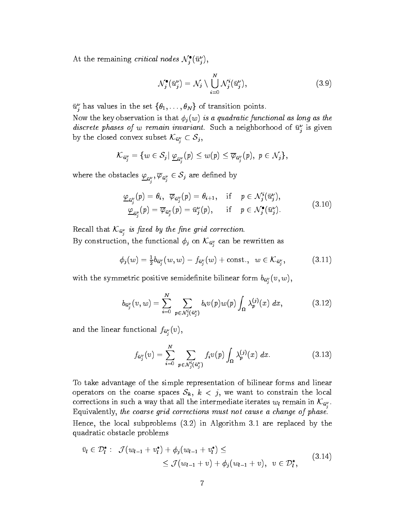At the remaining *critical nodes*  $N_i(u_i)$ ,

$$
\mathcal{N}_j^{\bullet}(\bar{u}_j^{\nu}) = \mathcal{N}_j \setminus \bigcup_{i=0}^N \mathcal{N}_j^i(\bar{u}_j^{\nu}), \tag{3.9}
$$

 $u_j$  has values in the set  $\{v_1,\ldots,v_N\}$  or transition points.

Now the key observation is that  $\phi_i(w)$  is a quadratic functional as long as the *discrete phases of w remain invariant.* Such a neighborhood of  $u_j$  is given by the closed convex subset  $\mathcal{W}_{u_j} \subset \mathcal{O}_j$ ,

$$
{\cal K}_{\bar{u}^{\nu}_{j}}=\{w\in\mathcal{S}_{j}|~\underline{\varphi}_{\bar{u}^{\nu}_{j}}(p)\leq w(p)\leq\overline{\varphi}_{\bar{u}^{\nu}_{j}}(p),~p\in\mathcal{N}_{j}\},
$$

where the obstacles  $\underline{\varphi}_{\bar{u}^{\nu}_j}, \varphi_{\bar{u}^{\nu}_j} \in \mathcal{S}_j$  are defined by

$$
\underline{\varphi}_{\bar{u}_j^{\nu}}(p) = \theta_i, \quad \overline{\varphi}_{\bar{u}_j^{\nu}}(p) = \theta_{i+1}, \quad \text{if} \quad p \in \mathcal{N}_j^i(\bar{u}_j^{\nu}), \n\underline{\varphi}_{\bar{u}_j^{\nu}}(p) = \overline{\varphi}_{\bar{u}_j^{\nu}}(p) = \bar{u}_j^{\nu}(p), \quad \text{if} \quad p \in \mathcal{N}_j^{\bullet}(\bar{u}_j^{\nu}).
$$
\n(3.10)

 $R_{\alpha}$  is the  $\kappa v_{\alpha}$  to juich by the grid correction.  $B$  construction, the functional  $\varphi_j$  on  $\kappa_{u_j}$  can be few fitted as

$$
\phi_j(w) = \frac{1}{2} b_{\bar{u}_j^{\nu}}(w, w) - f_{\bar{u}_j^{\nu}}(w) + \text{const.}, \ \ w \in \mathcal{K}_{\bar{u}_j^{\nu}}, \tag{3.11}
$$

 $\sim$ 

with the symmetric positive semiconnite similar form  $v_{\bm{i}_i}$  (c,  $\omega$ ),

$$
b_{\bar{u}^{\nu}_{j}}(v,w) = \sum_{i=0}^{N} \sum_{p \in \mathcal{N}_{j}^{i}(\bar{u}^{\nu}_{j})} b_{i}v(p)w(p) \int_{\Omega} \lambda_{p}^{(j)}(x) dx, \qquad (3.12)
$$

and the filled functional  $J\mathbf{u}_i^{\dagger}(\mathbf{v})$ ,

$$
f_{\bar{u}_j^{\nu}}(v) = \sum_{i=0}^{N} \sum_{p \in \mathcal{N}_j^i(\bar{u}_j^{\nu})} f_i v(p) \int_{\Omega} \lambda_p^{(j)}(x) dx.
$$
 (3.13)

To take advantage of the simple representation of bilinear forms and linear operators on the coarse spaces  $\mathbf{I}$  , we want to constrain the local to constraints  $\mathbf{I}$ corrections in such a way that all the intermediate for all remain in  $\mathcal{W}_{q_i}^i$ . Equivalently, the coarse grid corrections must not cause a change of phase. Hence, the local subproblems (3.2) in Algorithm 3.1 are replaced by the quadratic obstacle problems

$$
\bar{v}_l \in \mathcal{D}_l^* : \quad \mathcal{J}(w_{l-1} + v_l^*) + \phi_j(w_{l-1} + v_l^*) \leq
$$
\n
$$
\leq \mathcal{J}(w_{l-1} + v) + \phi_j(w_{l-1} + v), \quad v \in \mathcal{D}_l^*,
$$
\n
$$
(3.14)
$$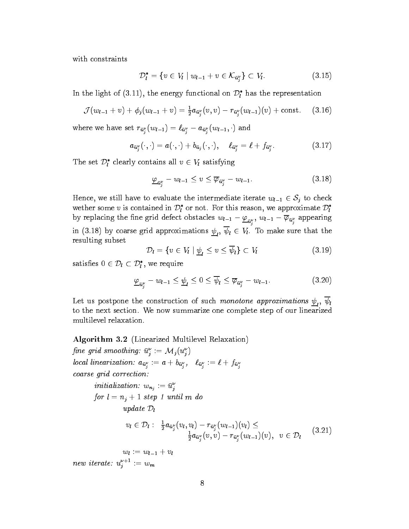with constraints

$$
\mathcal{D}_{l}^{*} = \{ v \in V_{l} \mid w_{l-1} + v \in \mathcal{K}_{\bar{u}_{j}^{\nu}} \} \subset V_{l}.
$$
 (3.15)

In the light of  $(3.11)$ , the energy functional on  $\nu_{l}$  has the representation

$$
\mathcal{J}(w_{l-1}+v)+\phi_j(w_{l-1}+v)=\tfrac{1}{2}a_{\bar{u}_j^{\nu}}(v,v)-r_{\bar{u}_j^{\nu}}(w_{l-1})(v)+\text{const.}\qquad(3.16)
$$

where we have set  $u_i$  ( $\omega_{i-1}$ )  $\omega_{u_i}$   $\omega_{u_i}$  ( $\omega_{i-1}$ ) and

$$
a_{\bar{u}_j^{\nu}}(\cdot,\cdot)=a(\cdot,\cdot)+b_{\bar{u}_j}(\cdot,\cdot),\quad \ell_{\bar{u}_j^{\nu}}=\ell+f_{\bar{u}_j^{\nu}}.\tag{3.17}
$$

The set  $\nu_l$  clearly contains all  $v \in v_l$  satisfying

$$
\underline{\varphi}_{\bar{u}_j^{\nu}} - w_{l-1} \le v \le \overline{\varphi}_{\bar{u}_j^{\nu}} - w_{l-1}.
$$
\n(3.18)

wether some v is contained in  $\mathcal{D}_l^*$  or not. For this reason, we approximate  $\mathcal{D}_l^*$ by replacing the fine grid defect obstacles  $w_{l-1} - \underline{\varphi}_{\bar{u}^{\nu}_{i}}, \, w_{l-1} - \varphi_{\bar{u}^{\nu}_{j}}$  appearing  $\sum_{i=1}^{n}$  in  $\sum_{i=1}^{n}$  by coarse grid approximations  $\sum_{i=1}^{n}$   $\sum_{i=1}^{n}$   $\sum_{i=1}^{n}$   $\sum_{i=1}^{n}$  is contributed that the coarse resulting subset

$$
\mathcal{D}_l = \{ v \in V_l \mid \underline{\psi}_l \le v \le \overline{\psi}_l \} \subset V_l \tag{3.19}
$$

satisfies  $0 \in \mathcal{D}_l \subset \mathcal{D}_l$ , we require

$$
\underline{\varphi}_{\bar{u}_j^{\nu}} - w_{l-1} \le \underline{\psi}_l \le 0 \le \overline{\psi}_l \le \overline{\varphi}_{\bar{u}_j^{\nu}} - w_{l-1}.
$$
\n(3.20)

 $\mathcal{L}$  is a postpone that construction of such monotone approximations  $\mathcal{L}_l$  ,  $\mathcal{L}_l$ to the next section. We now summarize one complete step of our linearized multilevel relaxation.

#### Algorithm 3.2 (Linearized Multilevel Relaxation)

 $\emph{pne gra smooning: } u_j := \mathcal{M}_j(u_j)$ local linearization:  $\omega_{u_j}$  ,  $\omega + \omega_{u_j}$  ,  $\omega_{u_j}$  ,  $\omega + \omega_{u_j}$ coarse grid correction:

initialization: 
$$
w_{n_j} := \bar{u}_j^{\nu}
$$

\nfor  $l = n_j + 1$  step 1 until  $m$  do

\n $update \, D_l$ 

$$
v_l \in \mathcal{D}_l: \frac{1}{2} a_{\bar{u}_j^{\nu}}(v_l, v_l) - r_{\bar{u}_j^{\nu}}(w_{l-1})(v_l) \leq \frac{1}{2} a_{\bar{u}_j^{\nu}}(v, v) - r_{\bar{u}_j^{\nu}}(w_{l-1})(v), \ \ v \in \mathcal{D}_l \qquad (3.21)
$$

 $w_l := w_{l-1} + v_l$ new iterate:  $u_j$  :  $=w_m$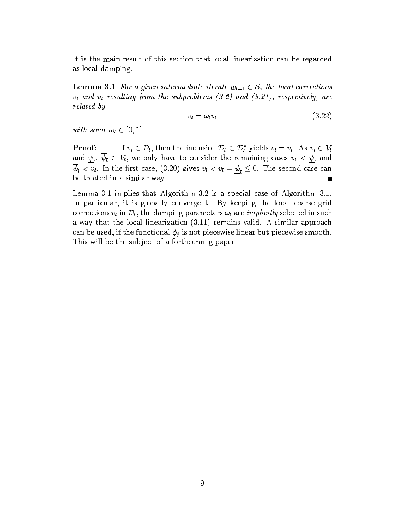It is the main result of this section that local linearization can be regarded as local damping.

 $\overline{v}_l$  and  $v_l$  resulting from the subproblems  $(3.2)$  and  $(3.21)$ , respectively, are related by

$$
v_l = \omega_l \bar{v}_l \tag{3.22}
$$

with some  $\mathbb{E}[\mathbf{1}]$ .

If  $\bar{v}_l \in \mathcal{D}_l$ , then the inclusion  $\mathcal{D}_l \subset \mathcal{D}_l^*$  yields  $\bar{v}_l = v_l$ . As  $\bar{v}_l \in V_l$ **Proof:** If  $v_l \in \mathcal{V}_l$ , then the inclusion  $\mathcal{V}_l \subset \mathcal{V}_l$  yields  $v_l = v_l$ . As  $v_l \in V_l$ <br>and  $\underline{\psi}_l$ ,  $\overline{\psi}_l \in V_l$ , we only have to consider the remaining cases  $\overline{v}_l < \underline{\psi}_l$  and  $\mathcal{H}$  ,  $\mathcal{H}$  and the matrices of  $\mathcal{H}$  of  $\mathcal{H}$  of  $\mathcal{H}$  =  $\mathcal{H}$  . The second case can be treated in a similar way.  $\blacksquare$ 

Lemma 3.1 implies that Algorithm 3.2 is a special case of Algorithm 3.1. In particular, it is globally convergent. By keeping the local coarse grid corrections vl in Dl , the damping parameters in  $\iota$  are implicitly selected in such  $\iota$ a way that the local linearization (3.11) remains valid. A similar approach can be used, if the functional  $\phi_j$  is not piecewise linear but piecewise smooth. This will be the subject of a forthcoming paper.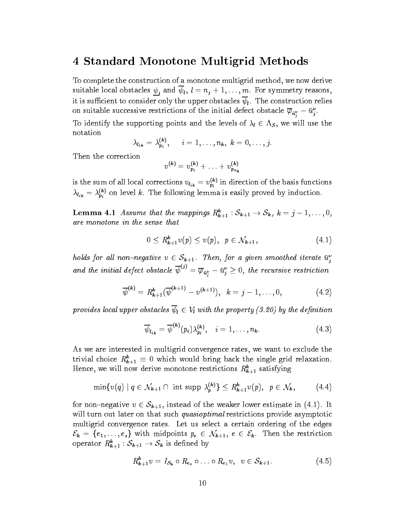### 4 Standard Monotone Multigrid Methods

To complete the construction of a monotone multigrid method, we now derive suitable local obstacles  $\frac{r}{l}$  and  $r$  is  $\frac{r}{l}$  ,  $\frac{r}{l}$  ,  $\frac{r}{l}$  ,  $\frac{r}{l}$  ,  $\frac{r}{l}$  ,  $\frac{r}{l}$  ,  $\frac{r}{l}$  ,  $\frac{r}{l}$  ,  $\frac{r}{l}$  ,  $\frac{r}{l}$  ,  $\frac{r}{l}$  ,  $\frac{r}{l}$  ,  $\frac{r}{l}$  ,  $\frac{r}{l}$  ,  $\frac{r}{l$ it is sufficient to consider only the upper obstacles  $\overline{\psi}_l$ . The construction relies on suitable successive restrictions of the initial defect obstacle  $\varphi_{\bar{u}^{\nu}_{j}} - u^{\nu}_{j}.$ 

To identify the supporting points and the levels of l  $2$  S  $\alpha$  , we will use the line notation

$$
\lambda_{l_{ik}}=\lambda_{p_i}^{(k)},\qquad i=1,\ldots,n_k,\;k=0,\ldots,j.
$$

Then the correction

$$
v^{(k)} = v_{p_1}^{(k)} + \ldots + v_{p_{n_k}}^{(k)}
$$

is the sum of all local corrections  $v_{l_{ik}} = v_{p_i}^{(k)}$  in direction of the basis functions  $\lambda_{l_{ik}} = \lambda_{pi}^{(k)}$  on level k. The following lemma is easily proved by induction.

**Lemma 4.1** Assume that the mappings  $R_{k+1}$ :  $S_{k+1} \rightarrow S_k$ ,  $k = j = 1, \ldots, 0$ ,<br>are monotone in the sense that are monotone in the sense that

$$
0 \le R_{k+1}^k v(p) \le v(p), \ \ p \in \mathcal{N}_{k+1}, \tag{4.1}
$$

nous for all non-negative  $v \in S_{k+1}$ . Then, for a given smoothed iterate  $u_j$ <br>and the initial defect obstacle  $\overline{\psi}^{(j)} = \overline{\varphi}_{\bar{u}_i^{\nu}} - \bar{u}_j^{\nu} \geq 0$ , the recursive restriction je poznata u predstavanje i poznata u predstavanje i poznata u predstavanje i poznata u predstavanje i poznata

$$
\overline{\psi}^{(k)} = R_{k+1}^k (\overline{\psi}^{(k+1)} - v^{(k+1)}), \ \ k = j - 1, \ldots, 0,
$$
 (4.2)

provides local upper obstacles  $\overline{\psi}_l \in V_l$  with the property (3.20) by the definition

$$
\overline{\psi}_{l_{ik}} = \overline{\psi}^{(k)}(p_i) \lambda_{p_i}^{(k)}, \quad i = 1, \dots, n_k. \tag{4.3}
$$

As we are interested in multigrid convergence rates, we want to exclude the trivial choice  $n_{k+1} = 0$  which would bring back the single grid relaxation. Hence, we will now derive monotone restrictions  $\kappa_{k+1}^*$  satisfying

$$
\min\{v(q) \mid q \in \mathcal{N}_{k+1} \cap \text{ int } \operatorname{supp} \lambda_p^{(k)}\} \leq R_{k+1}^k v(p), \ \ p \in \mathcal{N}_k,\tag{4.4}
$$

will turn out later on that such *quasioptimal* restrictions provide asymptotic multigrid convergence rates. Let us select a certain ordering of the edges operator  $R_{k+1}^k : S_{k+1} \to S_k$  is defined by

$$
R_{k+1}^k v = I_{\mathcal{S}_k} \circ R_{e_s} \circ \ldots \circ R_{e_1} v, \ \ v \in \mathcal{S}_{k+1}.
$$
 (4.5)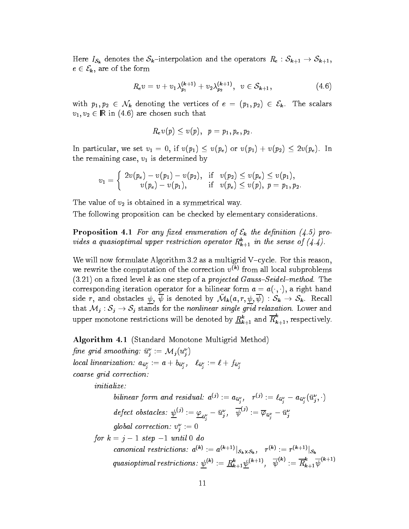Here  $I_{\mathcal{S}_k}$  denotes the  $\mathcal{S}_k$ -interpolation and the operators  $R_e : \mathcal{S}_{k+1} \to \mathcal{S}_{k+1}$ ,  $\epsilon$   $\epsilon$   $\epsilon$ <sub>k</sub>, are of the form

$$
R_{e}v = v + v_{1}\lambda_{p_{1}}^{(k+1)} + v_{2}\lambda_{p_{2}}^{(k+1)}, \quad v \in S_{k+1}, \tag{4.6}
$$

with  $p_1, p_2 \in \mathcal{N}_k$  denoting the vertices of  $e = (p_1, p_2) \in \mathcal{E}_k$ . The scalars  $\mathcal{L}_{1}$ ,  $\mathcal{L}_{2}$   $\subset$   $\cdots$   $\cdots$   $\left( \ldots$   $\right)$  are chosen such that

$$
R_e v(p)\leq v(p),\;\;p=p_1,p_e,p_2.
$$

In particular, we set v1  $\rightarrow$  0, if v(p)  $\rightarrow$  v(pe) or v(pu)  $\rightarrow$  v(pe). In v(pe). the remaining case,  $v_1$  is determined by

$$
v_1 = \left\{\begin{array}{ccc} 2v(p_e)-v(p_1)-v(p_2), & \text{if} & v(p_2) \leq v(p_e) \leq v(p_1), \\ v(p_e)-v(p_1), & \text{if} & v(p_e) \leq v(p), \; p=p_1, p_2. \end{array}\right.
$$

The value of  $v_2$  is obtained in a symmetrical way.

The following proposition can be checked by elementary considerations.

 $\mathbf{P}$  and  $\mathbf{P}$  and  $\mathbf{P}$  and  $\mathbf{P}$  and  $\mathbf{P}$  and  $\mathbf{P}$  and  $\mathbf{P}$  are denoted by  $\mathbf{P}$  and  $\mathbf{P}$  are denoted by  $\mathbf{P}$  and  $\mathbf{P}$  are denoted by  $\mathbf{P}$  and  $\mathbf{P}$  are denoted by  $\mathbf{P}$ viaes a quasioptimal upper restriction operator  $\kappa_{k+1}$  in the sense of  $(4.4)$ .

We will now formulate Algorithm 3.2 as a multigrid V-cycle. For this reason, we rewrite the computation of the correction  $v^{(k)}$  from all local subproblems  $(3.21)$  on a fixed level k as one step of a *projected Gauss-Seidel-method*. The corresponding iteration operator for a bilinear form  $a = a(\cdot, \cdot)$ , a right hand side r, and obstacles  $\psi$ ,  $\overline{\psi}$  is denoted by  $\overline{\mathcal{M}}_k(a, r, \psi, \overline{\psi}) : \mathcal{S}_k \to \mathcal{S}_k$ . Recall that  $M_i: S_i \to S_i$  stands for the *nonlinear single grid relaxation*. Lower and upper monotone restrictions will be denoted by  $\underline{R}^k_{k+1}$  and  $\overline{R}^k_{k+1}$ , respectively.

Algorithm 4.1 (Standard Monotone Multigrid Method)

 $\emph{j}$ ne gria smootning:  $u_{j}:=\emph{m}_{j}(u_{j})$  $\sum_{i=1}^n a_i$  ,  $\sum_{i=1}^n a_i$  ,  $\sum_{i=1}^n a_i$  ,  $\sum_{i=1}^n a_i$ je poznata za obrazu na stanie na stanie na stanie na stanie na stanie na stanie na stanie na stanie na stanie  $\sim$ je poznata za obrazu na stanie na stanie na stanie na stanie na stanie na stanie na stanie na stanie na stanie coarse grid correction: initialize: bilinear form and residual:  $a^{\langle j \rangle} := a_{\bar{u}_j^{\nu}}, \quad r^{\langle j \rangle} := \ell_{\bar{u}_j^{\nu}} - a_{\bar{u}_j^{\nu}} \langle u_j, \cdot \rangle$  $\textit{defect obstacles}:\ \underline{\psi}^{(J)}:=\underline{\varphi}_{\bar{u}^{\nu}_{j}}-\bar{u}^{\nu}_{j},\ \ \psi^{(J)}:=\overline{\varphi}_{\bar{u}^{\nu}_{j}}-\bar{u}^{\nu}_{j}$ qiobal correction:  $v_i := v$  $\sim$  $j$  is the  $j$  -form  $r$  is the form  $\delta$  and  $\delta$ canonical restrictions:  $a^{(k)} := a^{(k+1)} \overline{S_k \times S_k}$ ,  $r^{(k+1)} = r^{(k+1)} \overline{S_k}$ quasioptimal restrictions:  $\psi^{(k)} := \underline{R}_{k+1}^k \psi^{(k+1)}, \quad \psi^{(k)} := R_{k+1}^k \psi^{(k+1)}$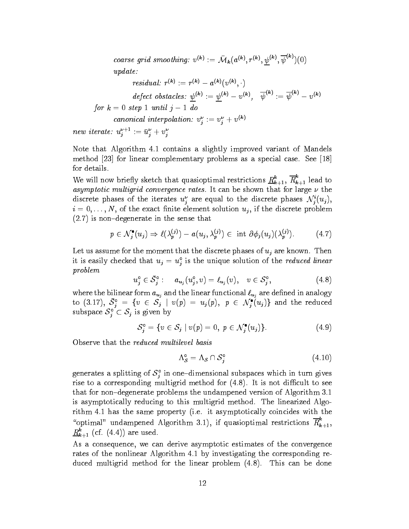coarse grid smoothing:  $v^{(k)} := \mathcal{M}_k(a^{(k)}, r^{(k)}, \psi^{(k)}, \psi^{(k)})$ update:

$$
\textit{residual: } r^{(k)} := r^{(k)} - a^{(k)}(v^{(k)}, \cdot) \\ \textit{defect obstacles: } \underline{\psi}^{(k)} := \underline{\psi}^{(k)} - v^{(k)}, \quad \overline{\psi}^{(k)} := \overline{\psi}^{(k)} - v^{(k)} \\ \textit{for } k = 0 \textit{ step 1 until } j - 1 \textit{ do} \\ \textit{canonical interpolation: } v_j^{\nu} := v_j^{\nu} + v^{(k)} \\ \textit{if } v_{j+1}^{\nu+1} = v_{j+1}^{\nu} \textit{ if } v_{j+1}^{\nu} = v_{j+1}^{\nu} \textit{ if } v_{j+1}^{\nu} = v_{j+1}^{\nu} \textit{ if } v_{j+1}^{\nu} = v_{j+1}^{\nu} \textit{ if } v_{j+1}^{\nu} = v_{j+1}^{\nu} \textit{ if } v_{j+1}^{\nu} = v_{j+1}^{\nu} \textit{ if } v_{j+1}^{\nu} = v_{j+1}^{\nu} \textit{ if } v_{j+1}^{\nu} = v_{j+1}^{\nu} \textit{ if } v_{j+1}^{\nu} = v_{j+1}^{\nu} \textit{ if } v_{j+1}^{\nu} = v_{j+1}^{\nu} \textit{ if } v_{j+1}^{\nu} = v_{j+1}^{\nu} \textit{ if } v_{j+1}^{\nu} = v_{j+1}^{\nu} \textit{ if } v_{j+1}^{\nu} = v_{j+1}^{\nu} \textit{ if } v_{j+1}^{\nu} = v_{j+1}^{\nu} \textit{ if } v_{j+1}^{\nu} = v_{j+1}^{\nu} \textit{ if } v_{j+1}^{\nu} = v_{j+1}^{\nu} \textit{ if } v_{j+1}^{\nu} = v_{j+1}^{\nu} \textit{ if } v_{j+1}^{\nu} = v_{j+1}^{\nu} \textit{ if } v_{j+1}^{\nu} = v_{j+1}^{\nu} \textit{ if } v_{j+1}^{\nu} = v_{j+1}^{\nu} \textit{ if } v_{j+1}^{\nu} = v_{j+1}^{\nu} \textit{ if } v_{j+1}^{\nu} = v_{j+1}^{\nu} \textit{ if } v
$$

new iterate:  $u_j$  :=  $u_j^2 + v_j^2$ 

Note that Algorithm 4.1 contains a slightly improved variant of Mandels method [23] for linear complementary problems as a special case. See [18] for details.

We will now briefly sketch that quasioptimal restrictions  $\underline{R}^\kappa_{k+1},\,R^-_{k+1}$  lead to asymptotic multigrid convergence rates. It can be shown that for large  $\nu$  the discrete phases of the iterates  $u_j$  are equal to the discrete phases  $N_j(u_j)$ ,  $i = 0, \ldots, N$ , of the exact finite element solution  $u_j$ , if the discrete problem  $(2.7)$  is non-degenerate in the sense that

$$
p \in \mathcal{N}_j^{\bullet}(u_j) \Rightarrow \ell(\lambda_p^{(j)}) - a(u_j, \lambda_p^{(j)}) \in \text{ int } \partial \phi_j(u_j)(\lambda_p^{(j)}). \tag{4.7}
$$

Let us assume for the moment that the discrete phases of  $u_j$  are known. Then it is easily checked that  $u_j = u_j$  is the unique solution of the reduced linear problem

$$
u_j^{\circ} \in \bar{S}_j^{\circ} : \quad a_{u_j}(u_j^{\circ}, v) = \ell_{u_j}(v), \quad v \in S_j^{\circ}, \tag{4.8}
$$

where the bilinear form and  $u_j$  and the linear functional  $u_j$  are defined in an analogy  $\sigma$ to (3.17),  $S_j = \{v \in S_j | v(p) = u_j(p), p \in N_j(u_j)\}\$  and the reduced<br>subspace  $S_j^{\circ} \subset S_j$  is given by subspace  $S_j \subset S_j$  is given by

$$
\mathcal{S}_j^{\circ} = \{ v \in \mathcal{S}_j \mid v(p) = 0, \ p \in \mathcal{N}_j^{\bullet}(u_j) \}. \tag{4.9}
$$

Observe that the reduced multilevel basis

$$
\Lambda_{\mathcal{S}}^{\circ} = \Lambda_{\mathcal{S}} \cap \mathcal{S}_{j}^{\circ} \tag{4.10}
$$

generates a splitting of  $\delta_j$  in one-dimensional subspaces which in turn gives rise to a corresponding multigrid method for  $(4.8)$ . It is not difficult to see that for non-degenerate problems the undampened version of Algorithm 3.1 is asymptotically reducing to this multigrid method. The linearized Algorithm 4.1 has the same property (i.e. it asymptotically coincides with the "optimal" undampened Algorithm 3.1), if quasioptimal restrictions  $R_{k+1}$ ,  $\underline{R}_{k+1}$  (cf. (4.4*)*) are used.

As a consequence, we can derive asymptotic estimates of the convergence rates of the nonlinear Algorithm 4.1 by investigating the corresponding reduced multigrid method for the linear problem (4.8). This can be done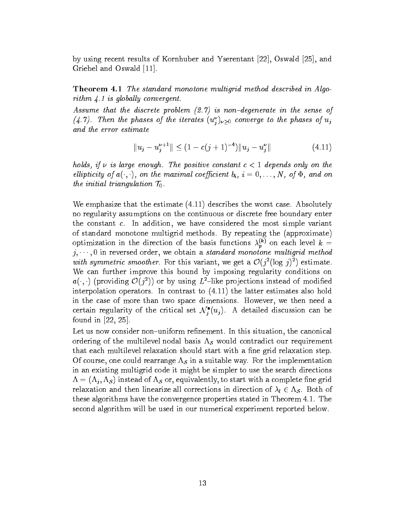by using recent results of Kornhuber and Yserentant [22], Oswald [25], and Griebel and Oswald [11].

Theorem 4.1 The standard monotone multigrid method described in Algorithm  $4.1$  is globally convergent.

Assume that the discrete problem  $(2.7)$  is non-degenerate in the sense of  $(4.1)$ . Then the phases of the iterates  $(u_j)_{\nu \geq 0}$  converge to the phases of  $u_j$ and the error estimate

$$
||u_j - u_j^{\nu+1}|| \le (1 - c(j+1)^{-4})||u_j - u_j^{\nu}|| \tag{4.11}
$$

holds, if  $\nu$  is large enough. The positive constant  $c < 1$  depends only on the ellipticity of  $a(\cdot, \cdot)$ , on the maximal coefficient  $b_i$ ,  $i = 0, \ldots, N$ , of  $\Phi$ , and on the initial triangulation T0.

We emphasize that the estimate (4.11) describes the worst case. Absolutely no regularity assumptions on the continuous or discrete free boundary enter the constant c. In addition, we have considered the most simple variant of standard monotone multigrid methods. By repeating the (approximate) optimization in the direction of the basis functions  $\lambda_b^{(0)}$  on each level  $k =$ j; ; 0 in reversed order, we obtain a standard monotone multigrid method with symmetric smoother. For this variant, we get a  $\mathcal{O}(j^2(\log j)^2)$  estimate. We can further improve this bound by imposing regularity conditions on  $a(\cdot, \cdot)$  (providing  $\mathcal{O}(j^2)$ ) or by using  $L^{2}$ -like projections instead of modified interpolation operators. In contrast to (4.11) the latter estimates also hold in the case of more than two space dimensions. However, we then need a certain regularity of the critical set  $\mathcal{N}_j\left(u_j\right)$ . A detailed discussion can be found in [22, 25].

Let us now consider non-uniform refinement. In this situation, the canonical ordering of the multilevel nodal basis  $\Lambda_{\mathcal{S}}$  would contradict our requirement that each multilevel relaxation should start with a fine grid relaxation step. Of course, one could rearrange  $\Lambda_{\mathcal{S}}$  in a suitable way. For the implementation in an existing multigrid code it might be simpler to use the search directions  $\Lambda = (\Lambda_j, \Lambda_{\mathcal{S}})$  instead of  $\Lambda_{\mathcal{S}}$  or, equivalently, to start with a complete fine grid relaxation and the linear method in the linear corrections in directions in  $\gamma$   $\in$  . Both of l  $\gamma$ these algorithms have the convergence properties stated in Theorem 4.1. The second algorithm will be used in our numerical experiment reported below.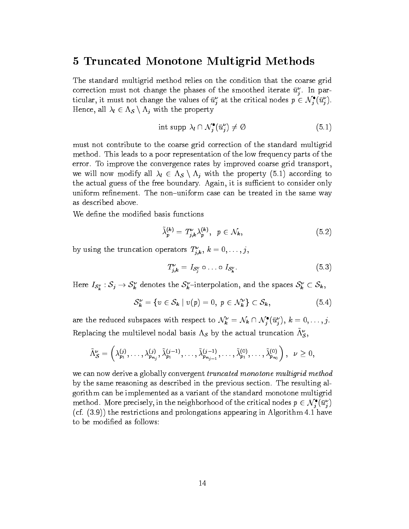### 5 Truncated Monotone Multigrid Methods

The standard multigrid method relies on the condition that the coarse grid correction must not change the phases of the smoothed iterate  $u_i$ . In particular, it must not change the values of  $u_j$  at the critical nodes  $p \in N_j(u_j)$ .<br>Hence all  $\lambda_i \in \Lambda_c \setminus \Lambda$ , with the property  $\mathcal{L}$  is a set of  $\mathcal{L}$  and  $\mathcal{L}$  and  $\mathcal{L}$  is a property of  $\mathcal{L}$  . The property is a property of  $\mathcal{L}$ 

$$
\text{int } \operatorname{supp} \lambda_l \cap \mathcal{N}_j^{\bullet}(\bar{u}_j^{\nu}) \neq \emptyset \tag{5.1}
$$

must not contribute to the coarse grid correction of the standard multigrid method. This leads to a poor representation of the low frequency parts of the error. To improve the convergence rates by improved coarse grid transport, we will now modify all l  $2 \cdot 2$  s n j with the property (5.1) according to  $\sim$ the actual guess of the free boundary. Again, it is sufficient to consider only uniform refinement. The non-uniform case can be treated in the same way as described above.

We define the modified basis functions

$$
\tilde{\lambda}_p^{(k)} = T_{j,k}^{\nu} \lambda_p^{(k)}, \quad p \in \mathcal{N}_k,\tag{5.2}
$$

by using the truncation operators  $T_{i,k}$ ,  $\kappa = 0,\ldots,j,$ 

$$
T_{j,k}^{\nu} = I_{\mathcal{S}_j^{\nu}} \circ \ldots \circ I_{\mathcal{S}_k^{\nu}}.\tag{5.3}
$$

Here  $I_{S_k^v} : \mathcal{S}_j \to \mathcal{S}_k$  denotes the  $\mathcal{S}_k$ -interpolation, and the spaces  $\mathcal{S}_k \subset \mathcal{S}_k$ ,

$$
\mathcal{S}_k^{\nu} = \{ v \in \mathcal{S}_k \mid v(p) = 0, \ p \in \mathcal{N}_k^{\nu} \} \subset \mathcal{S}_k,
$$
\n
$$
(5.4)
$$

are the reduced subspaces with respect to  $N_k = N_k \cap N_j$   $(u_j), k = 0, \ldots, j.$ Replacing the multilevel nodal basis  $\Lambda_S$  by the actual truncation  $\tilde{\Lambda}_S^{\nu}$ ,

$$
\tilde{\Lambda}^{\nu}_{\mathcal{S}}=\left(\lambda^{(j)}_{p_1},\ldots,\lambda^{(j)}_{p_{n_j}},\tilde{\lambda}^{(j-1)}_{p_1},\ldots,\tilde{\lambda}^{(j-1)}_{p_{n_{j-1}}},\ldots,\tilde{\lambda}^{(0)}_{p_1},\ldots,\tilde{\lambda}^{(0)}_{p_{n_0}}\right), \ \ \nu\geq 0,
$$

we can now derive a globally convergent truncated monotone multigrid method by the same reasoning as described in the previous section. The resulting algorithm can be implemented as a variant of the standard monotone multigrid method. More precisely, in the neighborhood of the critical nodes  $p \in N_j(u_j)$ <br>(cf. (3.9)) the restrictions and prolongations appearing in Algorithm 4.1 have (cf. (3.9)) the restrictions and prolongations appearing in Algorithm 4.1 have to be modified as follows: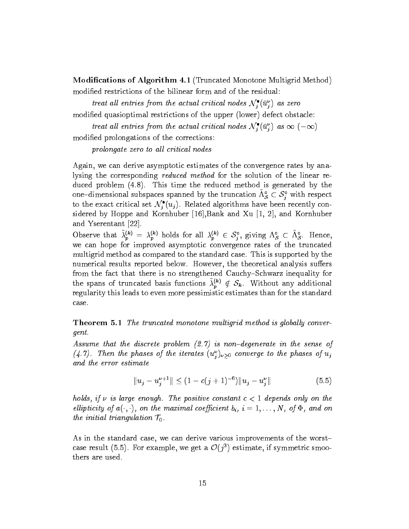Modications of Algorithm 4.1 (Truncated Monotone Multigrid Method) modied restrictions of the bilinear form and of the residual:

treat all entries from the actual critical nodes  $N_j \left( u_j^{\scriptscriptstyle +} \right)$  as zero modified quasioptimal restrictions of the upper (lower) defect obstacle:

treat all entries from the actual critical nodes  $N_i(u_i)$  as  $\infty$   $(-\infty)$ modied prolongations of the corrections:

prolongate zero to all critical nodes

Again, we can derive asymptotic estimates of the convergence rates by analysing the corresponding *reduced method* for the solution of the linear reduced problem (4.8). This time the reduced method is generated by the one–aimensional subspaces spanned by the truncation  $\Lambda_{\mathcal{S}}\subset{\mathcal{S}}_j$  with respect<br>to the exact critical set  $\mathcal{N}^\bullet_i(u_j)$ . Related algorithms have been recently conone-dimensional subspaces spanned by the truncation  $\Lambda_{\mathcal{S}}^{\circ} \subset \mathcal{S}_{i}^{\circ}$  with respect sidered by Hoppe and Kornhuber [16],Bank and Xu [1, 2], and Kornhuber and Yserentant [22].

Observe that  $\lambda_p^{(k)} = \lambda_p^{(k)}$  holds for all  $\lambda_p^{(k)} \in S_j$ , giving  $\Lambda_S \subset \Lambda_S$ . Hence, we can hope for improved asymptotic convergence rates of the truncated multigrid method as compared to the standard case. This is supported by the numerical results reported below. However, the theoretical analysis suffers from the fact that there is no strengthened Cauchy-Schwarz inequality for the spans of truncated basis functions  $\tilde{\lambda}_p^{(k)} \notin S_k$ . Without any additional regularity this leads to even more pessimistic estimates than for the standard case.

**Theorem 5.1** The truncated monotone multigrid method is globally convergent.

Assume that the discrete problem  $(2.7)$  is non-degenerate in the sense of  $(4.1)$ . Then the phases of the iterates  $(u_j)_{\nu \geq 0}$  converge to the phases of  $u_j$ and the error estimate

$$
||u_j - u_j^{\nu+1}|| \le (1 - c(j+1)^{-6})||u_j - u_j^{\nu}|| \tag{5.5}
$$

holds, if  $\nu$  is large enough. The positive constant  $c < 1$  depends only on the ellipticity of  $a(\cdot, \cdot)$ , on the maximal coefficient  $b_i$ ,  $i = 1, \ldots, N$ , of  $\Phi$ , and on the initial triangulation T0.

As in the standard case, we can derive various improvements of the worstcase result (5.5). For example, we get a  $\mathcal{O}(j^*)$  estimate, if symmetric smoothers are used.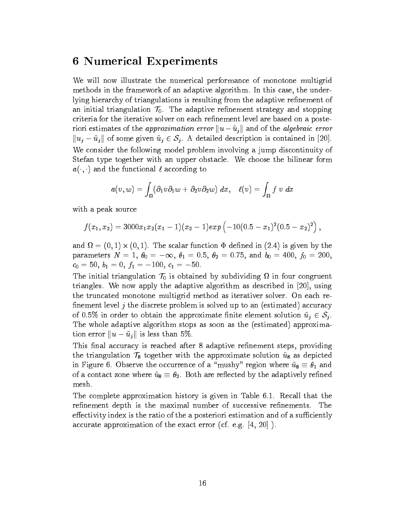# 6 Numerical Experiments

We will now illustrate the numerical performance of monotone multigrid methods in the framework of an adaptive algorithm. In this case, the underlying hierarchy of triangulations is resulting from the adaptive refinement of and initial triangulation  $\alpha$ ,  $\alpha$ . The adaptive results in the additional strategy and stopping criteria for the iterative solver on each refinement level are based on a posteriori estimates of the approximation error  $||u - \tilde{u}_j||$  and of the algebraic error We consider the following model problem involving a jump discontinuity of Stefan type together with an upper obstacle. We choose the bilinear form  $a(\cdot, \cdot)$  and the functional  $\ell$  according to

$$
a(v,w)=\int_{\Omega}(\partial_1 v \partial_1 w + \partial_2 v \partial_2 w) \ dx, \quad \ell(v)=\int_{\Omega} f \ v \ dx
$$

with a peak source

$$
f(x_1,x_2)=3000x_1x_2(x_1-1)(x_2-1)exp(-10(0.5-x_1)^2(0.5-x_2)^2),
$$

and  $\alpha$  ,  $\beta$  ,  $\beta$  ,  $\beta$  ,  $\beta$  ,  $\beta$  ,  $\beta$  ,  $\alpha$  ,  $\alpha$  ,  $\alpha$  ,  $\alpha$  ,  $\alpha$  ,  $\alpha$  ,  $\beta$  ,  $\alpha$  ,  $\alpha$  ,  $\alpha$  ,  $\alpha$  ,  $\alpha$  ,  $\alpha$  ,  $\alpha$  ,  $\alpha$  ,  $\alpha$  ,  $\alpha$  ,  $\alpha$  ,  $\alpha$  ,  $\alpha$  ,  $\alpha$  ,  $\alpha$  ,  $\alpha$  ,  $\alpha$  , parameters  $N = 1$ ,  $\theta_0 = -\infty$ ,  $\theta_1 = 0.5$ ,  $\theta_2 = 0.75$ , and  $b_0 = 400$ ,  $f_0 = 200$ ,  $c_0 = 50, b_1 = 0, f_1 = -100, c_1 = -50.$ 

The initial triangulation T<sup>0</sup> is obtained by subdividing in four congruent triangles. We now apply the adaptive algorithm as described in [20], using the truncated monotone multigrid method as iterativer solver. On each re finement level  $j$  the discrete problem is solved up to an (estimated) accuracy The whole adaptive algorithm stops as soon as the (estimated) approximation error  $||u-\tilde{u}_i||$  is less than 5%.

This final accuracy is reached after 8 adaptive refinement steps, providing the triangulation  $\alpha$  to the approximate solution  $\alpha$ in Figure 6. Observe the occurrence of a  $\mathop{\rm argmin} \nolimits'$  region where  $~\mathop{\rm eq}$   $~\mathop{\rm tr}\nolimits$  and of a contact zone where  $\alpha_8$   $\alpha_2$ . Both are reference  $\alpha$  , the adaptively reference mesh.

The complete approximation history is given in Table 6.1. Recall that the refinement depth is the maximal number of successive refinements. The effectivity index is the ratio of the a posteriori estimation and of a sufficiently accurate approximation of the exact error (cf. e.g. [4, 20] ).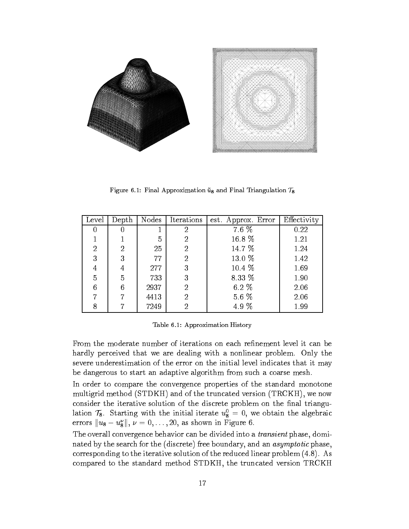

Figure 6.1: Final Approximation  $\tilde{u}_8$  and Final Triangulation  $\mathcal{T}_8$ 

| Level |    |      | Depth   Nodes   Iterations | est. Approx. Error $\vert$ | Effectivity |
|-------|----|------|----------------------------|----------------------------|-------------|
| 0     | 0  |      | 2                          | 7.6 %                      | 0.22        |
|       |    | 5    | 2                          | 16.8 %                     | 1.21        |
| 2     | 2  | 25   | 2                          | 14.7 %                     | 1.24        |
| 3     | 3  | 77   | 2                          | 13.0 %                     | 1.42        |
| 4     | 4  | 277  | 3                          | 10.4 %                     | 1.69        |
| 5     | 5  | 733  | 3                          | 8.33 %                     | 1.90        |
| 6     | 6  | 2937 | 2                          | 6.2 $%$                    | 2.06        |
|       | 7  | 4413 | 2                          | 5.6 %                      | 2.06        |
|       | די | 7249 | 2                          | 4.9 %                      | 1.99        |

Table 6.1: Approximation History

From the moderate number of iterations on each refinement level it can be hardly perceived that we are dealing with a nonlinear problem. Only the severe underestimation of the error on the initial level indicates that it may be dangerous to start an adaptive algorithm from such a coarse mesh.

In order to compare the convergence properties of the standard monotone multigrid method (STDKH) and of the truncated version (TRCKH), we now consider the iterative solution of the discrete problem on the final trianguiation  $T_8$ . Starting with the initial iterate  $u_8^{} = 0$ , we obtain the algebraic errors  $||u_8 - u_8||$ ,  $\nu = 0, \ldots, 20$ , as shown in Figure 6.

The overall convergence behavior can be divided into a transient phase, dominated by the search for the (discrete) free boundary, and an asymptotic phase, corresponding to the iterative solution of the reduced linear problem (4.8). As compared to the standard method STDKH, the truncated version TRCKH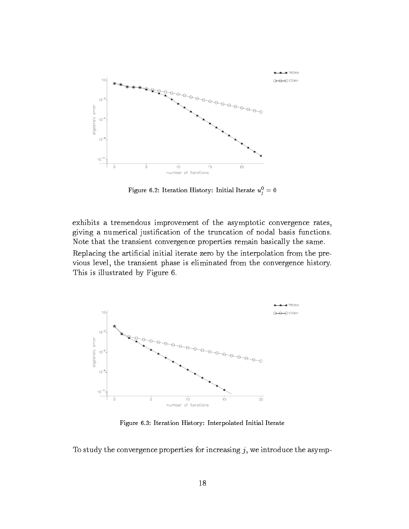

Figure 6.2: Iteration History: Initial Iterate  $u_i^* = 0$ 

exhibits a tremendous improvement of the asymptotic convergence rates, giving a numerical justication of the truncation of nodal basis functions. Note that the transient convergence properties remain basically the same. Replacing the articial initial iterate zero by the interpolation from the previous level, the transient phase is eliminated from the convergence history. This is illustrated by Figure 6.



Figure 6.3: Iteration History: Interpolated Initial Iterate

To study the convergence properties for increasing  $j$ , we introduce the asymp-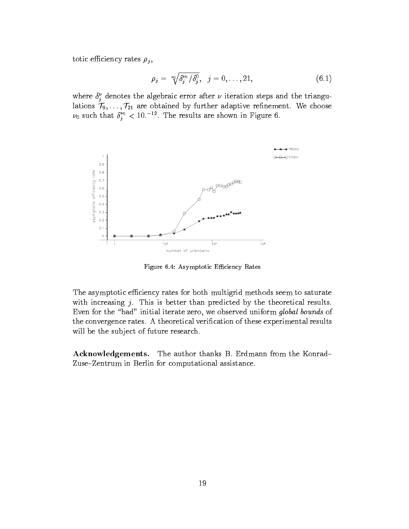totic efficiency rates  $\rho_j$ ,

$$
\rho_j = \sqrt[p_0]{\delta_j^{\nu_0}/\delta_j^0}, \quad j = 0, \ldots, 21,
$$
\n(6.1)

where  $\delta_i$  denotes the algebraic error after  $\nu$  iteration steps and the triangulations  $\{ \theta_j, \ldots, \theta_k \}$  and the continuous parameter adaptive resonance resonance  $\theta_j$  and  $\theta_k$  $\nu_0$  such that  $\delta_i^{\circ} < 10$ .  $\cdot$  The results are shown in Figure 6.



Figure 6.4: Asymptotic Efficiency Rates

The asymptotic efficiency rates for both multigrid methods seem to saturate with increasing  $j$ . This is better than predicted by the theoretical results. Even for the "bad" initial iterate zero, we observed uniform global bounds of the convergence rates. A theoretical verification of these experimental results will be the subject of future research.

Acknowledgements. The author thanks B. Erdmann from the Konrad-Zuse-Zentrum in Berlin for computational assistance.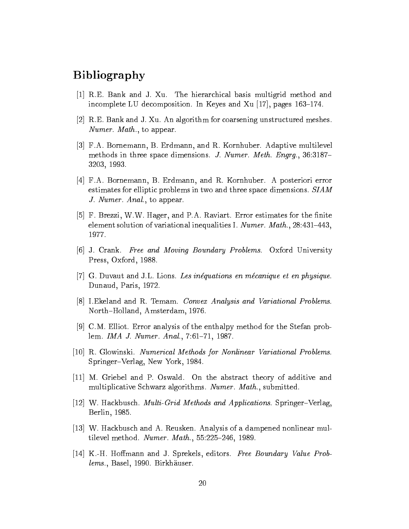# Bibliography

- [1] R.E. Bank and J. Xu. The hierarchical basis multigrid method and incomplete LU decomposition. In Keyes and Xu  $[17]$ , pages 163-174.
- [2] R.E. Bank and J. Xu. An algorithm for coarsening unstructured meshes. Numer. Math., to appear.
- [3] F.A. Bornemann, B. Erdmann, and R. Kornhuber. Adaptive multilevel methods in three space dimensions. J. Numer. Meth. Engrg.,  $36:3187-$ 3203, 1993.
- [4] F.A. Bornemann, B. Erdmann, and R. Kornhuber. A posteriori error estimates for elliptic problems in two and three space dimensions. SIAM J. Numer. Anal., to appear.
- [5] F. Brezzi, W.W. Hager, and P.A. Raviart. Error estimates for the finite element solution of variational inequalities I. Numer. Math.,  $28:431-443$ , 1977.
- [6] J. Crank. Free and Moving Boundary Problems. Oxford University Press, Oxford, 1988.
- [7] G. Duvaut and J.L. Lions. Les inequations en mecanique et en physique. Dunaud, Paris, 1972.
- [8] I.Ekeland and R. Temam. Convex Analysis and Variational Problems. North-Holland, Amsterdam, 1976.
- [9] C.M. Elliot. Error analysis of the enthalpy method for the Stefan problem. IMA J. Numer. Anal., 7:61-71, 1987.
- [10] R. Glowinski. Numerical Methods for Nonlinear Variational Problems. Springer–Verlag, New York, 1984.
- [11] M. Griebel and P. Oswald. On the abstract theory of additive and multiplicative Schwarz algorithms. Numer. Math., submitted.
- $[12]$  W. Hackbusch. *Multi-Grid Methods and Applications*. Springer–Verlag, Berlin, 1985.
- [13] W. Hackbusch and A. Reusken. Analysis of a dampened nonlinear multilevel method. Numer. Math.,  $55:225-246$ , 1989.
- [14] K.-H. Hoffmann and J. Sprekels, editors. Free Boundary Value Problems., Basel, 1990. Birkhäuser.